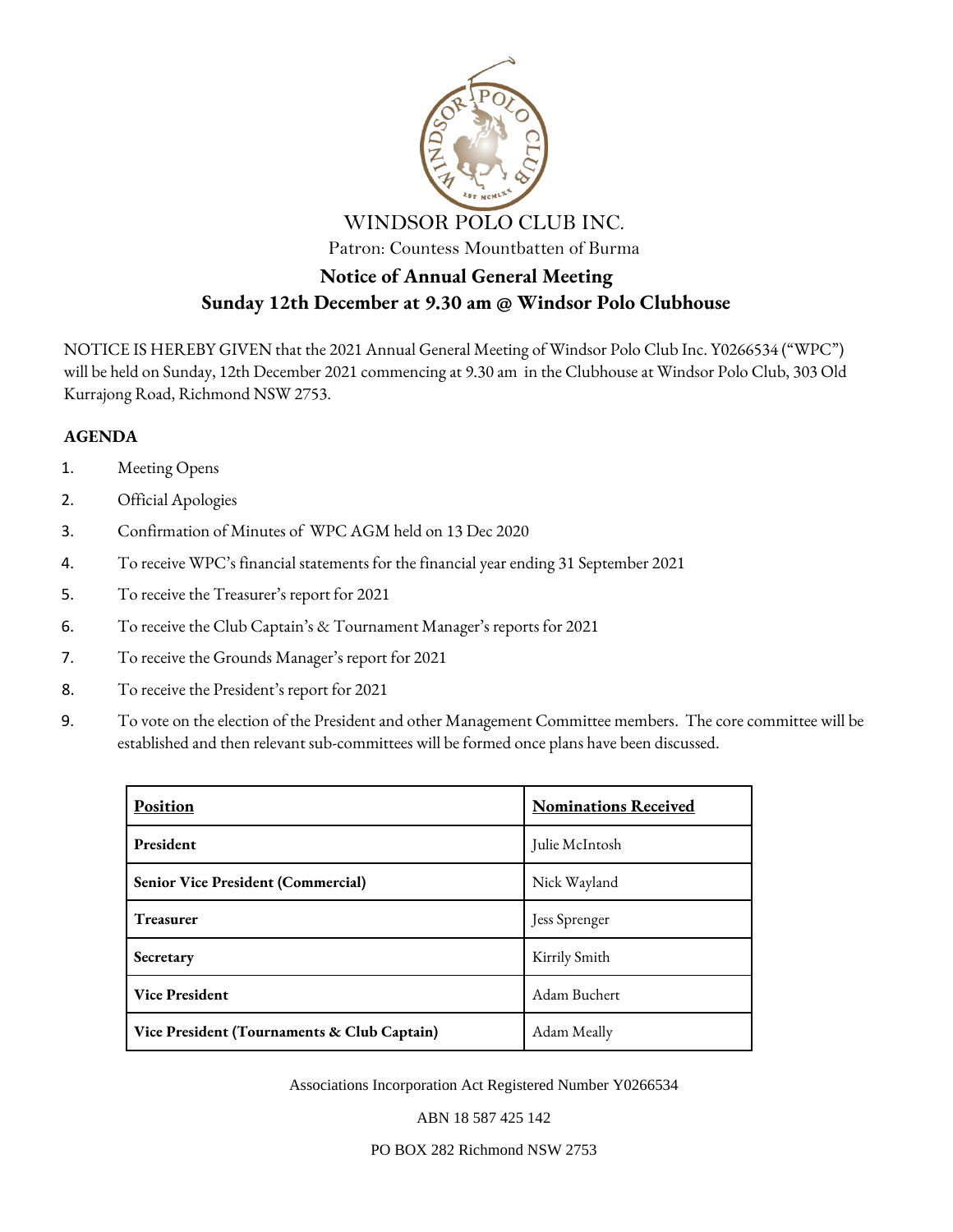

# **Sunday 12th December at 9.30 am @ Windsor Polo Clubhouse**

NOTICE IS HEREBY GIVEN that the 2021 Annual General Meeting of Windsor Polo Club Inc. Y0266534 ("WPC") will be held on Sunday, 12th December 2021 commencing at 9.30 am in the Clubhouse at Windsor Polo Club, 303 Old Kurrajong Road, Richmond NSW 2753.

### **AGENDA**

- 1. Meeting Opens
- 2. Official Apologies
- 3. Confirmation of Minutes of WPC AGM held on 13 Dec 2020
- 4. To receive WPC's financial statements for the financial year ending 31 September 2021
- 5. To receive the Treasurer's report for 2021
- 6. To receive the Club Captain's & Tournament Manager's reports for 2021
- 7. To receive the Grounds Manager's report for 2021
- 8. To receive the President's report for 2021
- 9. To vote on the election of the President and other Management Committee members. The core committee will be established and then relevant sub-committees will be formed once plans have been discussed.

| <b>Position</b>                             | <b>Nominations Received</b> |  |  |
|---------------------------------------------|-----------------------------|--|--|
| <b>President</b>                            | Julie McIntosh              |  |  |
| <b>Senior Vice President (Commercial)</b>   | Nick Wayland                |  |  |
| <b>Treasurer</b>                            | Jess Sprenger               |  |  |
| Secretary                                   | Kirrily Smith               |  |  |
| <b>Vice President</b>                       | Adam Buchert                |  |  |
| Vice President (Tournaments & Club Captain) | Adam Meally                 |  |  |

Associations Incorporation Act Registered Number Y0266534

ABN 18 587 425 142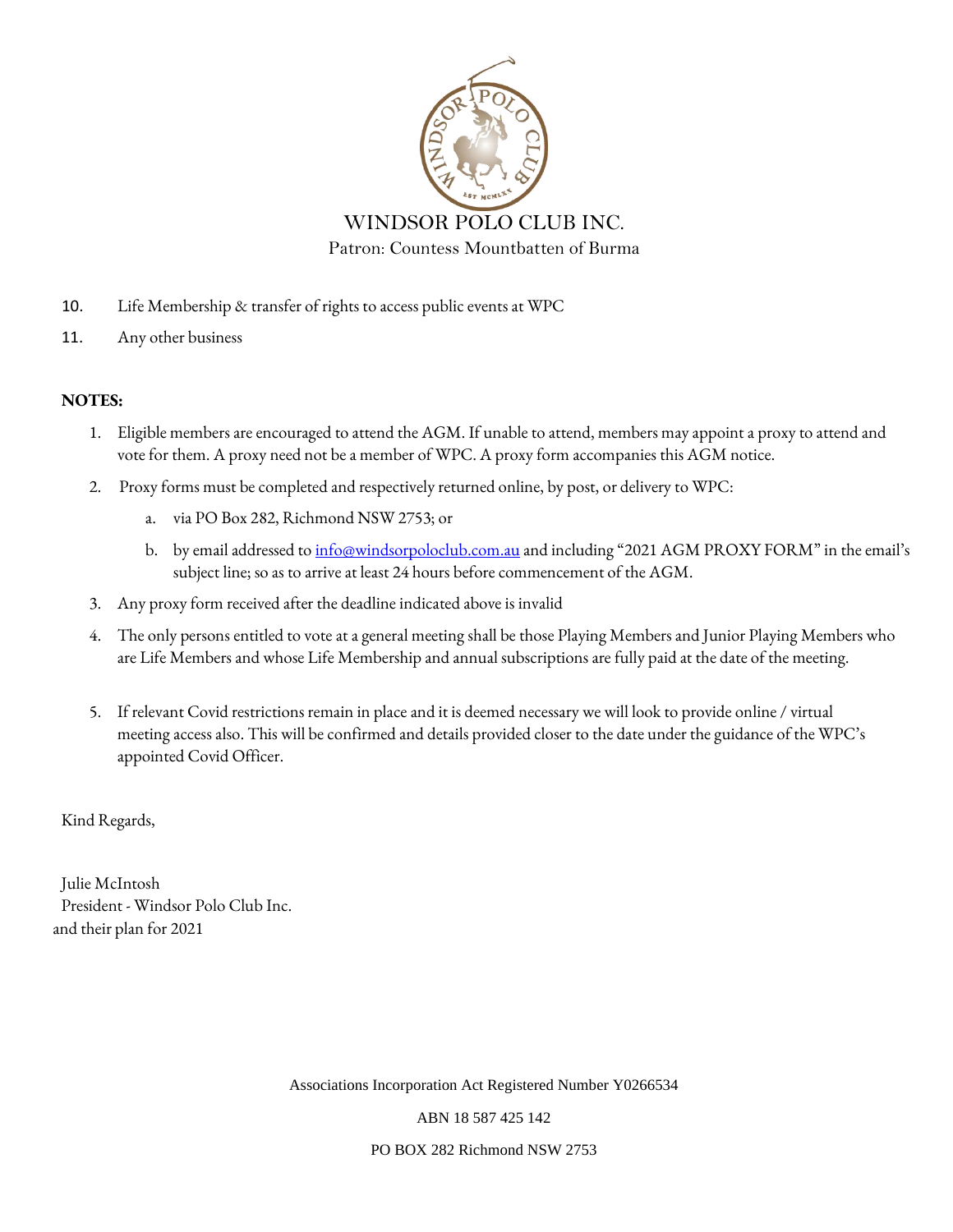

- 10. Life Membership & transfer of rights to access public events at WPC
- 11. Any other business

### **NOTES:**

- 1. Eligible members are encouraged to attend the AGM. If unable to attend, members may appoint a proxy to attend and vote for them. A proxy need not be a member of WPC. A proxy form accompanies this AGM notice.
- 2. Proxy forms must be completed and respectively returned online, by post, or delivery to WPC:
	- a. via PO Box 282, Richmond NSW 2753; or
	- b. by email addressed t[o info@windsorpoloclub.com.au](mailto:info@windsorpoloclub.com.au) and including "2021 AGM PROXY FORM" in the email's subject line; so as to arrive at least 24 hours before commencement of the AGM.
- 3. Any proxy form received after the deadline indicated above is invalid
- 4. The only persons entitled to vote at a general meeting shall be those Playing Members and Junior Playing Members who are Life Members and whose Life Membership and annual subscriptions are fully paid at the date of the meeting.
- 5. If relevant Covid restrictions remain in place and it is deemed necessary we will look to provide online / virtual meeting access also. This will be confirmed and details provided closer to the date under the guidance of the WPC's appointed Covid Officer.

Kind Regards,

Julie McIntosh President - Windsor Polo Club Inc. and their plan for 2021

Associations Incorporation Act Registered Number Y0266534

ABN 18 587 425 142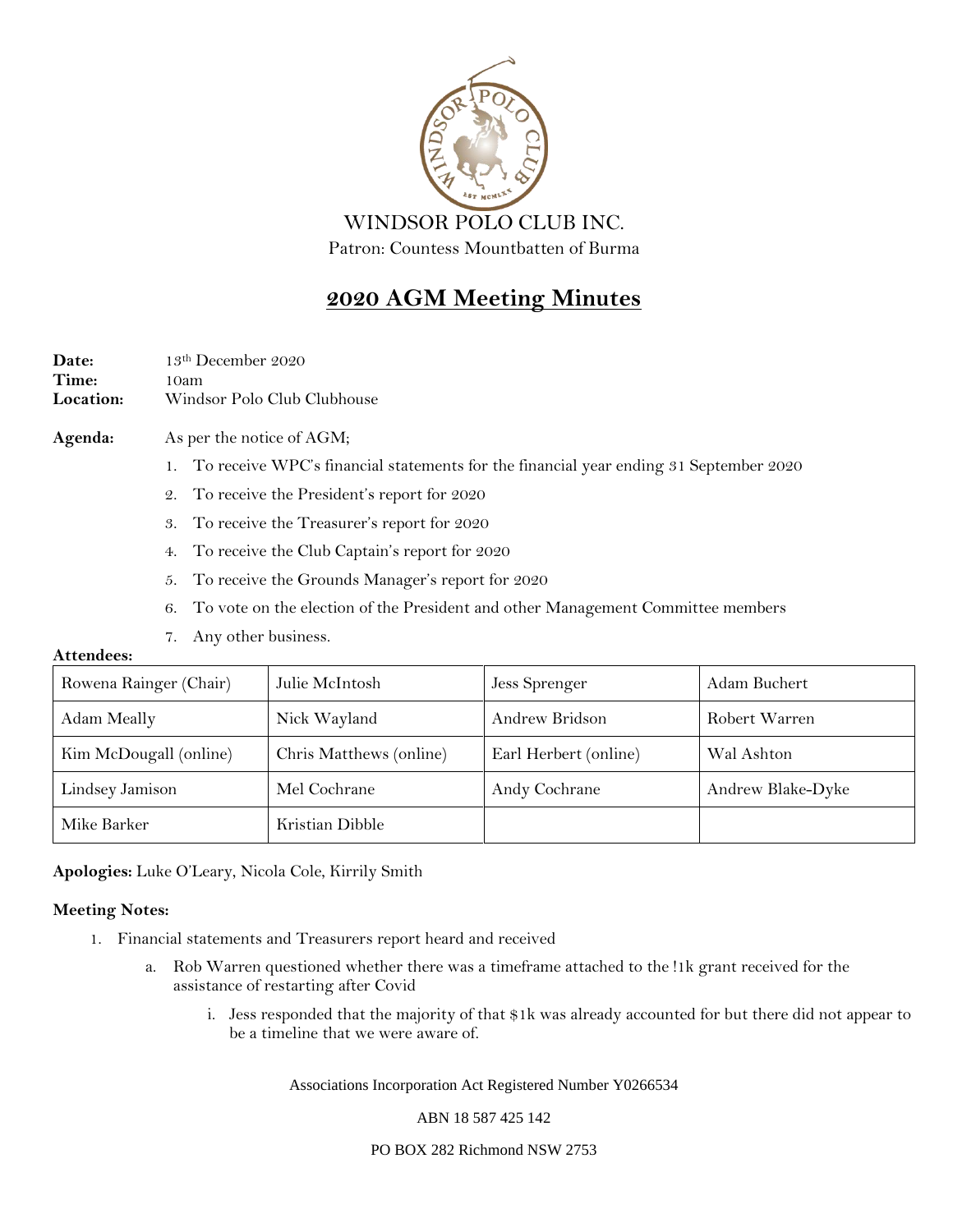

## **2020 AGM Meeting Minutes**

Date: 13th December 2020 **Time:** 10am **Location:** Windsor Polo Club Clubhouse

### **Agenda:** As per the notice of AGM;

- 1. To receive WPC's financial statements for the financial year ending 31 September 2020
- 2. To receive the President's report for 2020
- 3. To receive the Treasurer's report for 2020
- 4. To receive the Club Captain's report for 2020
- 5. To receive the Grounds Manager's report for 2020
- 6. To vote on the election of the President and other Management Committee members
- 7. Any other business.

#### **Attendees:**

| Rowena Rainger (Chair) | Julie McIntosh          | Jess Sprenger         | Adam Buchert      |
|------------------------|-------------------------|-----------------------|-------------------|
| Adam Meally            | Nick Wayland            | Andrew Bridson        | Robert Warren     |
| Kim McDougall (online) | Chris Matthews (online) | Earl Herbert (online) | Wal Ashton        |
| Lindsey Jamison        | Mel Cochrane            | Andy Cochrane         | Andrew Blake-Dyke |
| Mike Barker            | Kristian Dibble         |                       |                   |

**Apologies:** Luke O'Leary, Nicola Cole, Kirrily Smith

#### **Meeting Notes:**

- 1. Financial statements and Treasurers report heard and received
	- a. Rob Warren questioned whether there was a timeframe attached to the !1k grant received for the assistance of restarting after Covid
		- i. Jess responded that the majority of that \$1k was already accounted for but there did not appear to be a timeline that we were aware of.

Associations Incorporation Act Registered Number Y0266534

ABN 18 587 425 142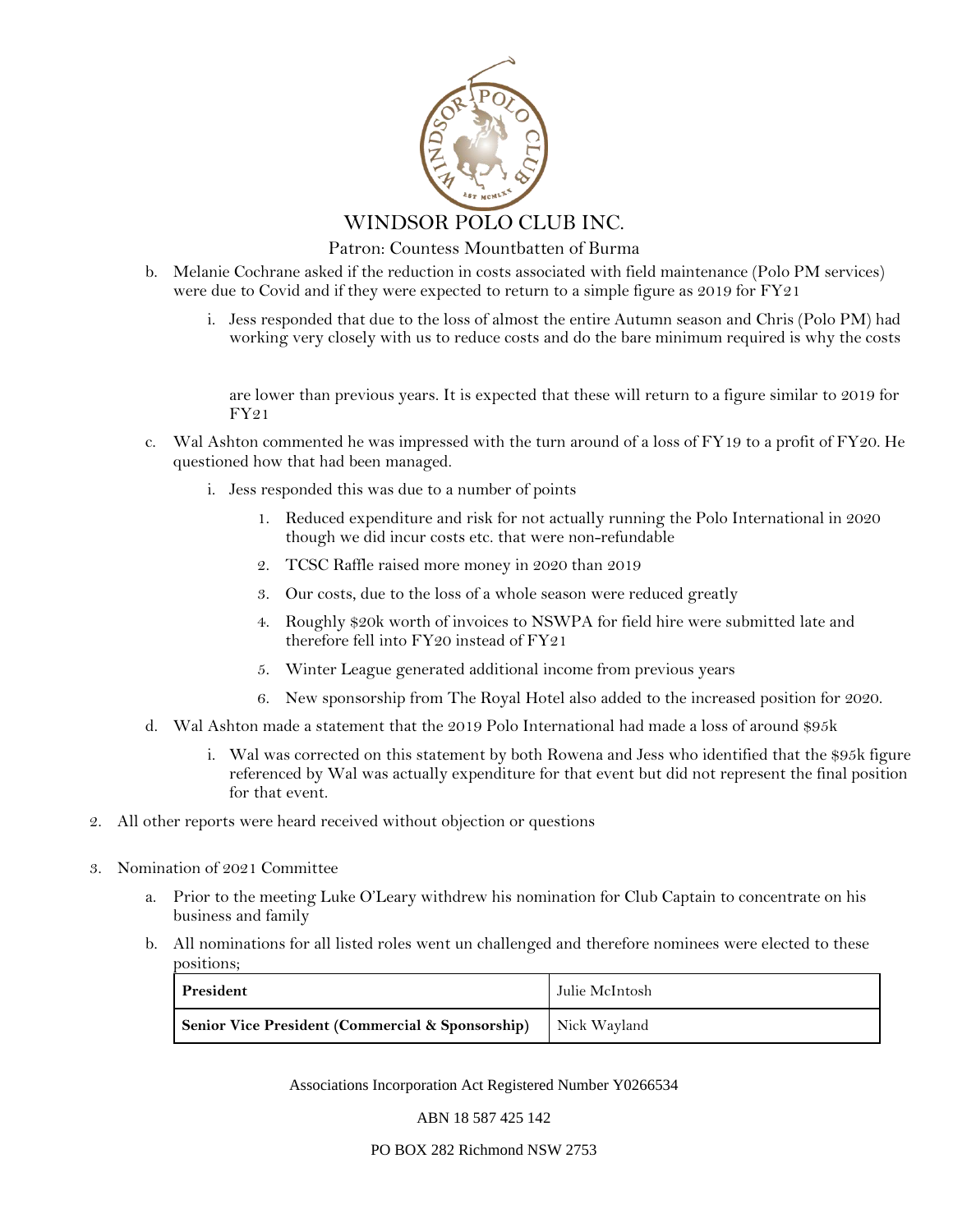

Patron: Countess Mountbatten of Burma

- b. Melanie Cochrane asked if the reduction in costs associated with field maintenance (Polo PM services) were due to Covid and if they were expected to return to a simple figure as 2019 for FY21
	- i. Jess responded that due to the loss of almost the entire Autumn season and Chris (Polo PM) had working very closely with us to reduce costs and do the bare minimum required is why the costs

are lower than previous years. It is expected that these will return to a figure similar to 2019 for FY21

- c. Wal Ashton commented he was impressed with the turn around of a loss of FY19 to a profit of FY20. He questioned how that had been managed.
	- i. Jess responded this was due to a number of points
		- 1. Reduced expenditure and risk for not actually running the Polo International in 2020 though we did incur costs etc. that were non-refundable
		- 2. TCSC Raffle raised more money in 2020 than 2019
		- 3. Our costs, due to the loss of a whole season were reduced greatly
		- 4. Roughly \$20k worth of invoices to NSWPA for field hire were submitted late and therefore fell into FY20 instead of FY21
		- 5. Winter League generated additional income from previous years
		- 6. New sponsorship from The Royal Hotel also added to the increased position for 2020.
- d. Wal Ashton made a statement that the 2019 Polo International had made a loss of around \$95k
	- i. Wal was corrected on this statement by both Rowena and Jess who identified that the \$95k figure referenced by Wal was actually expenditure for that event but did not represent the final position for that event.
- 2. All other reports were heard received without objection or questions
- 3. Nomination of 2021 Committee
	- a. Prior to the meeting Luke O'Leary withdrew his nomination for Club Captain to concentrate on his business and family
	- b. All nominations for all listed roles went un challenged and therefore nominees were elected to these positions;

| President                                        | Julie McIntosh |
|--------------------------------------------------|----------------|
| Senior Vice President (Commercial & Sponsorship) | Nick Wayland   |

Associations Incorporation Act Registered Number Y0266534

ABN 18 587 425 142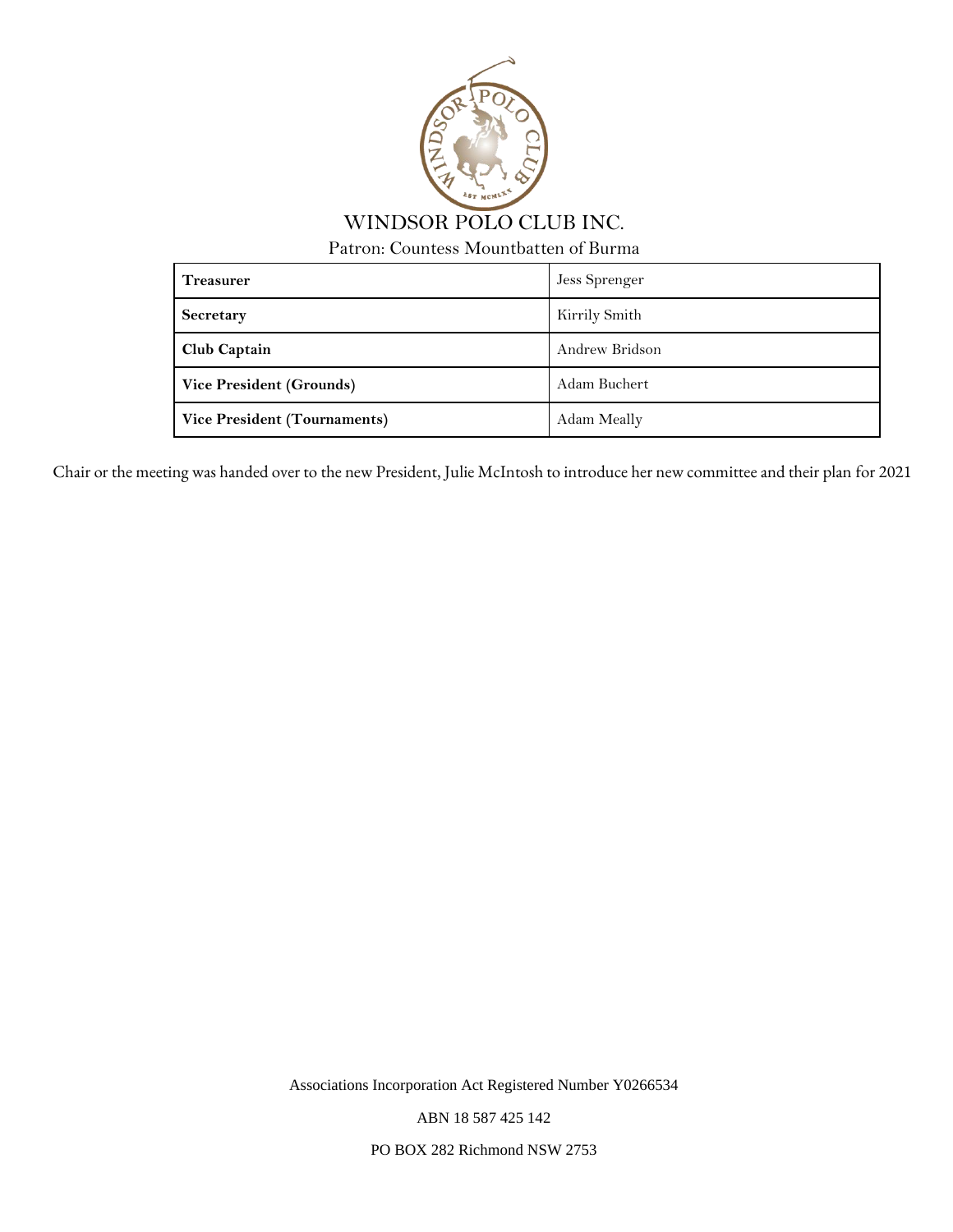

WINDSOR POLO CLUB INC.

Patron: Countess Mountbatten of Burma

| <b>Treasurer</b>                    | Jess Sprenger  |
|-------------------------------------|----------------|
| <b>Secretary</b>                    | Kirrily Smith  |
| <b>Club Captain</b>                 | Andrew Bridson |
| <b>Vice President (Grounds)</b>     | Adam Buchert   |
| <b>Vice President (Tournaments)</b> | Adam Meally    |

Chair or the meeting was handed over to the new President, Julie McIntosh to introduce her new committee and their plan for 2021

Associations Incorporation Act Registered Number Y0266534

ABN 18 587 425 142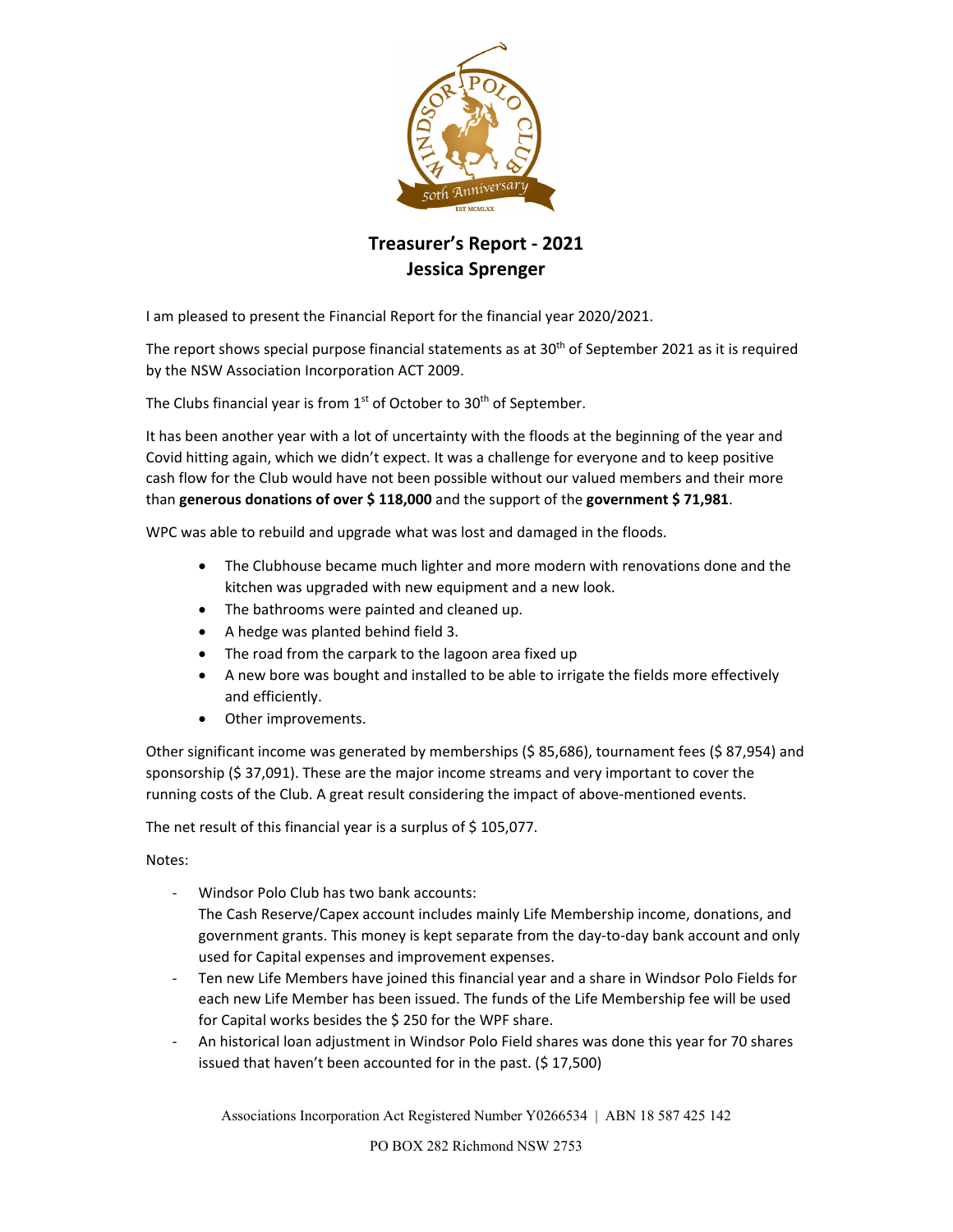

## **Treasurer's Report ‐ 2021 Jessica Sprenger**

I am pleased to present the Financial Report for the financial year 2020/2021.

The report shows special purpose financial statements as at  $30<sup>th</sup>$  of September 2021 as it is required by the NSW Association Incorporation ACT 2009.

The Clubs financial year is from  $1<sup>st</sup>$  of October to 30<sup>th</sup> of September.

It has been another year with a lot of uncertainty with the floods at the beginning of the year and Covid hitting again, which we didn't expect. It was a challenge for everyone and to keep positive cash flow for the Club would have not been possible without our valued members and their more than **generous donations of over \$ 118,000** and the support of the **government \$ 71,981**.

WPC was able to rebuild and upgrade what was lost and damaged in the floods.

- The Clubhouse became much lighter and more modern with renovations done and the kitchen was upgraded with new equipment and a new look.
- The bathrooms were painted and cleaned up.
- A hedge was planted behind field 3.
- The road from the carpark to the lagoon area fixed up
- A new bore was bought and installed to be able to irrigate the fields more effectively and efficiently.
- Other improvements.

Other significant income was generated by memberships (\$ 85,686), tournament fees (\$ 87,954) and sponsorship (\$ 37,091). These are the major income streams and very important to cover the running costs of the Club. A great result considering the impact of above-mentioned events.

The net result of this financial year is a surplus of \$105,077.

Notes:

- ‐ Windsor Polo Club has two bank accounts: The Cash Reserve/Capex account includes mainly Life Membership income, donations, and government grants. This money is kept separate from the day‐to‐day bank account and only used for Capital expenses and improvement expenses.
- ‐ Ten new Life Members have joined this financial year and a share in Windsor Polo Fields for each new Life Member has been issued. The funds of the Life Membership fee will be used for Capital works besides the \$ 250 for the WPF share.
- ‐ An historical loan adjustment in Windsor Polo Field shares was done this year for 70 shares issued that haven't been accounted for in the past. (\$ 17,500)

Associations Incorporation Act Registered Number Y0266534 | ABN 18 587 425 142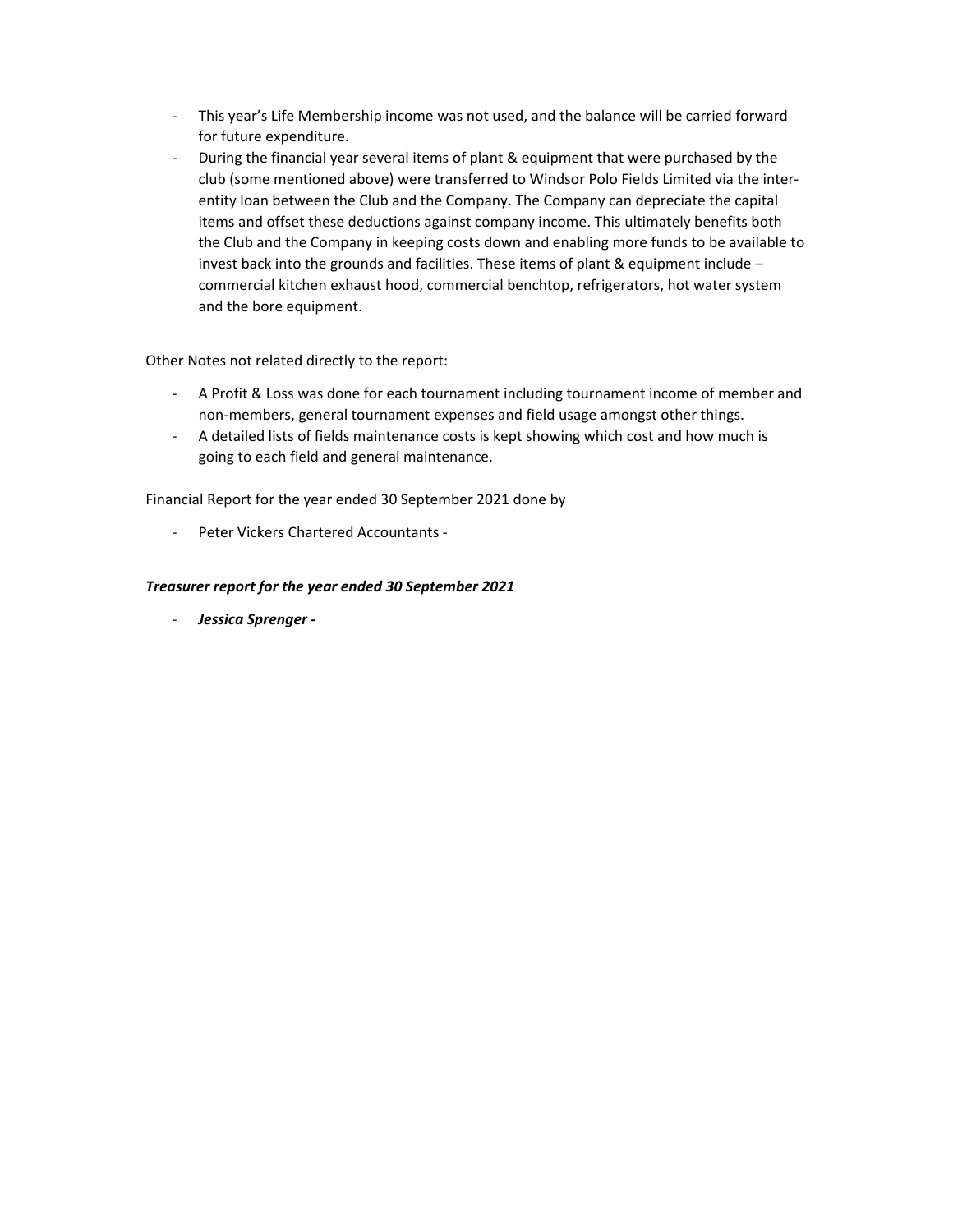- ‐ This year's Life Membership income was not used, and the balance will be carried forward for future expenditure.
- ‐ During the financial year several items of plant & equipment that were purchased by the club (some mentioned above) were transferred to Windsor Polo Fields Limited via the inter‐ entity loan between the Club and the Company. The Company can depreciate the capital items and offset these deductions against company income. This ultimately benefits both the Club and the Company in keeping costs down and enabling more funds to be available to invest back into the grounds and facilities. These items of plant & equipment include – commercial kitchen exhaust hood, commercial benchtop, refrigerators, hot water system and the bore equipment.

Other Notes not related directly to the report:

- ‐ A Profit & Loss was done for each tournament including tournament income of member and non‐members, general tournament expenses and field usage amongst other things.
- ‐ A detailed lists of fields maintenance costs is kept showing which cost and how much is going to each field and general maintenance.

Financial Report for the year ended 30 September 2021 done by

‐ Peter Vickers Chartered Accountants ‐

### *Treasurer report for the year ended 30 September 2021*

‐ *Jessica Sprenger ‐*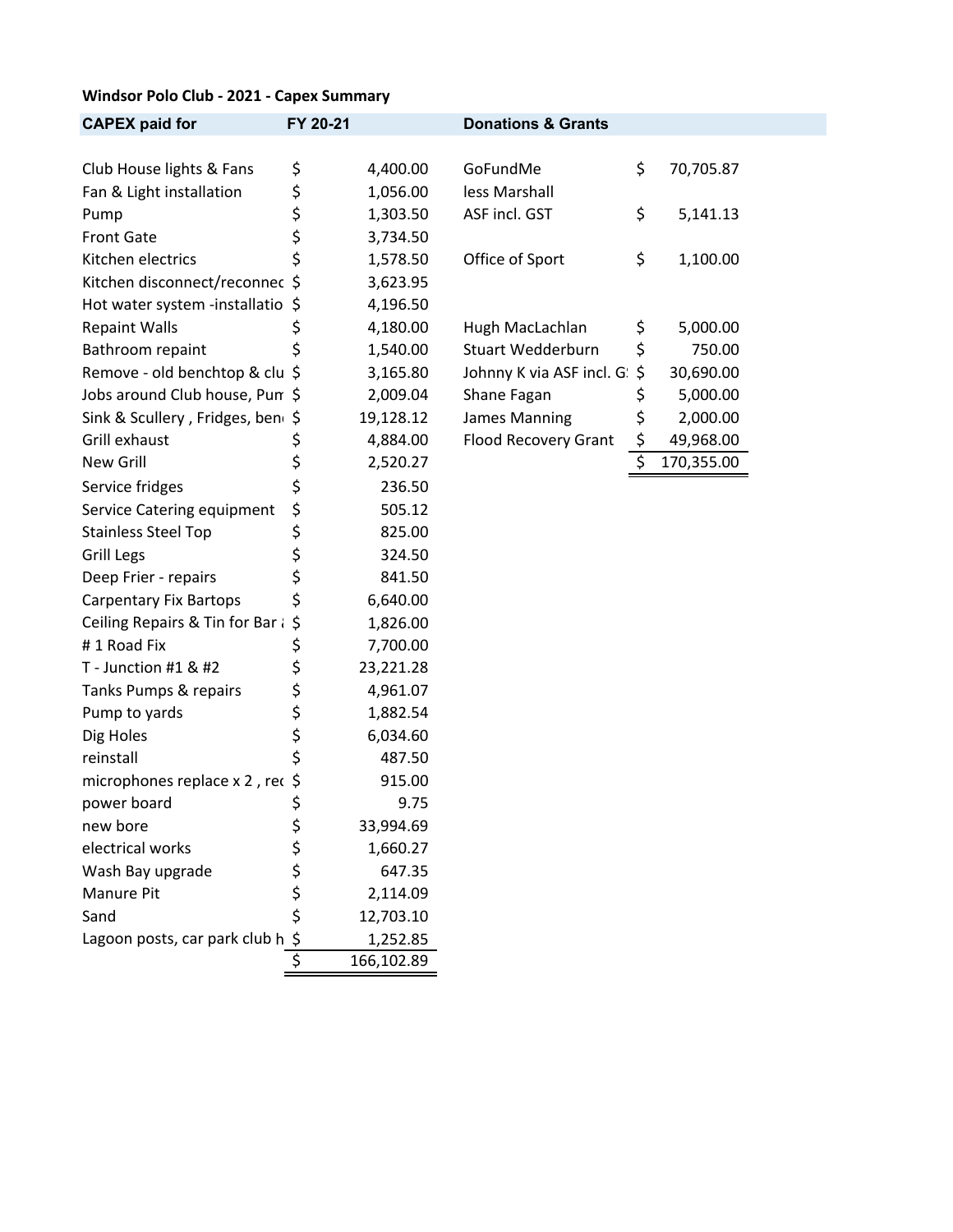### **Windsor Polo Club ‐ 2021 ‐ Capex Summary**

| <b>CAPEX paid for</b>                       | FY 20-21 |            | <b>Donations &amp; Grants</b> |                  |
|---------------------------------------------|----------|------------|-------------------------------|------------------|
| Club House lights & Fans                    |          | 4,400.00   | GoFundMe                      | \$<br>70,705.87  |
| Fan & Light installation                    | \$<br>\$ | 1,056.00   | less Marshall                 |                  |
| Pump                                        | \$       | 1,303.50   | ASF incl. GST                 | \$<br>5,141.13   |
| <b>Front Gate</b>                           | \$       | 3,734.50   |                               |                  |
| Kitchen electrics                           | \$       | 1,578.50   | Office of Sport               | \$<br>1,100.00   |
| Kitchen disconnect/reconnec \$              |          | 3,623.95   |                               |                  |
| Hot water system -installatio \$            |          | 4,196.50   |                               |                  |
| <b>Repaint Walls</b>                        | \$       | 4,180.00   | Hugh MacLachlan               | \$<br>5,000.00   |
| Bathroom repaint                            | \$       | 1,540.00   | <b>Stuart Wedderburn</b>      | \$<br>750.00     |
| Remove - old benchtop & clu \$              |          | 3,165.80   | Johnny K via ASF incl. G: \$  | 30,690.00        |
| Jobs around Club house, Pun \$              |          | 2,009.04   | Shane Fagan                   | \$<br>5,000.00   |
| Sink & Scullery, Fridges, ben \$            |          | 19,128.12  | James Manning                 | \$<br>2,000.00   |
| Grill exhaust                               | \$       | 4,884.00   | Flood Recovery Grant          | \$<br>49,968.00  |
| New Grill                                   | \$       | 2,520.27   |                               | \$<br>170,355.00 |
| Service fridges                             | \$       | 236.50     |                               |                  |
| Service Catering equipment                  | \$       | 505.12     |                               |                  |
| <b>Stainless Steel Top</b>                  | \$       | 825.00     |                               |                  |
| <b>Grill Legs</b>                           | \$       | 324.50     |                               |                  |
| Deep Frier - repairs                        | \$       | 841.50     |                               |                  |
| <b>Carpentary Fix Bartops</b>               | \$       | 6,640.00   |                               |                  |
| Ceiling Repairs & Tin for Bar $\frac{1}{5}$ |          | 1,826.00   |                               |                  |
| #1 Road Fix                                 | \$       | 7,700.00   |                               |                  |
| T - Junction #1 & #2                        | \$       | 23,221.28  |                               |                  |
| Tanks Pumps & repairs                       | \$       | 4,961.07   |                               |                  |
| Pump to yards                               | \$       | 1,882.54   |                               |                  |
| Dig Holes                                   | \$       | 6,034.60   |                               |                  |
| reinstall                                   | \$       | 487.50     |                               |                  |
| microphones replace x 2, rec \$             |          | 915.00     |                               |                  |
| power board                                 | \$       | 9.75       |                               |                  |
| new bore                                    | \$       | 33,994.69  |                               |                  |
| electrical works                            | \$       | 1,660.27   |                               |                  |
| Wash Bay upgrade                            |          | 647.35     |                               |                  |
| Manure Pit                                  | ささ       | 2,114.09   |                               |                  |
| Sand                                        |          | 12,703.10  |                               |                  |
| Lagoon posts, car park club h \$            |          | 1,252.85   |                               |                  |
|                                             | \$       | 166,102.89 |                               |                  |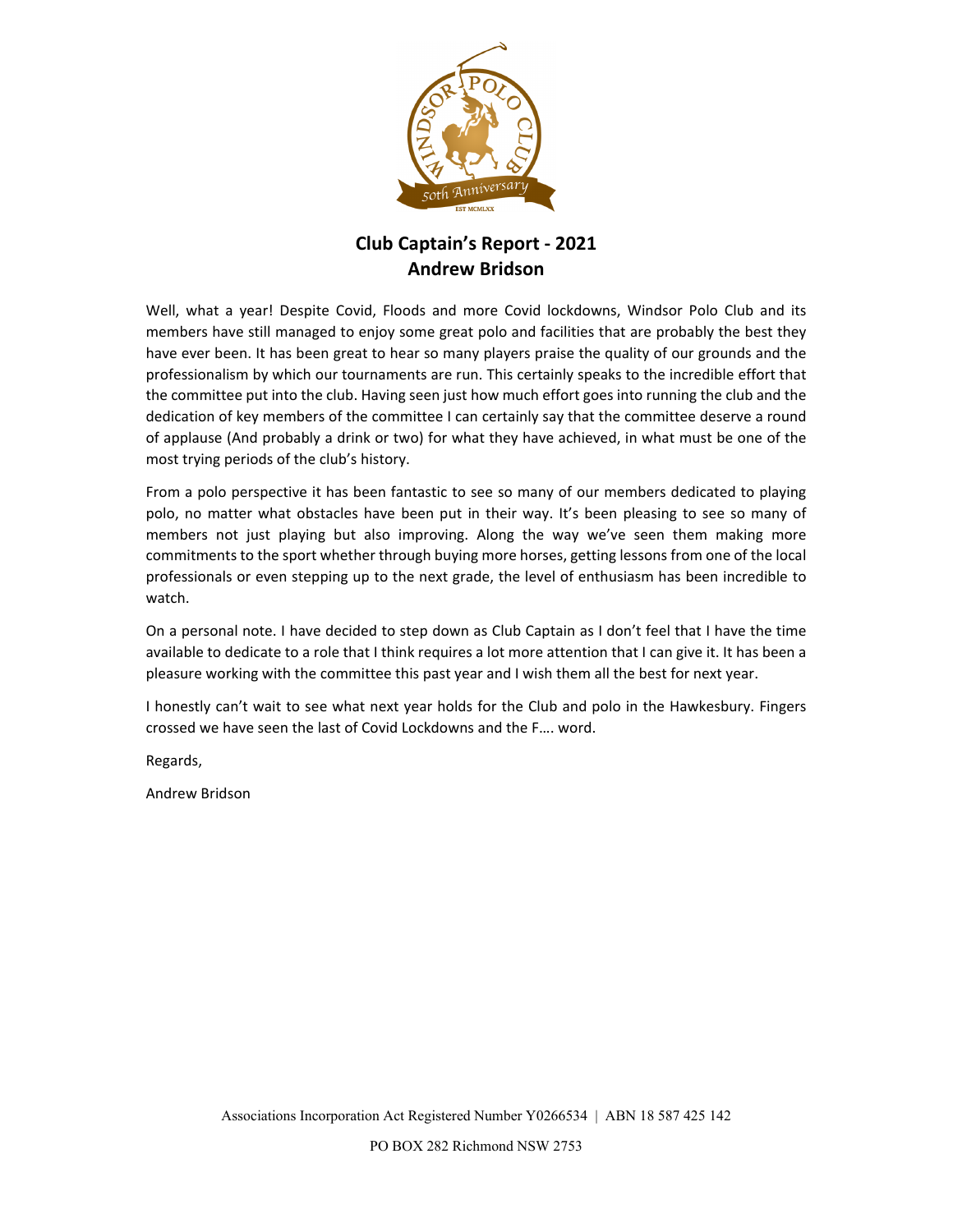

### **Club Captain's Report ‐ 2021 Andrew Bridson**

Well, what a year! Despite Covid, Floods and more Covid lockdowns, Windsor Polo Club and its members have still managed to enjoy some great polo and facilities that are probably the best they have ever been. It has been great to hear so many players praise the quality of our grounds and the professionalism by which our tournaments are run. This certainly speaks to the incredible effort that the committee put into the club. Having seen just how much effort goes into running the club and the dedication of key members of the committee I can certainly say that the committee deserve a round of applause (And probably a drink or two) for what they have achieved, in what must be one of the most trying periods of the club's history.

From a polo perspective it has been fantastic to see so many of our members dedicated to playing polo, no matter what obstacles have been put in their way. It's been pleasing to see so many of members not just playing but also improving. Along the way we've seen them making more commitments to the sport whether through buying more horses, getting lessons from one of the local professionals or even stepping up to the next grade, the level of enthusiasm has been incredible to watch.

On a personal note. I have decided to step down as Club Captain as I don't feel that I have the time available to dedicate to a role that I think requires a lot more attention that I can give it. It has been a pleasure working with the committee this past year and I wish them all the best for next year.

I honestly can't wait to see what next year holds for the Club and polo in the Hawkesbury. Fingers crossed we have seen the last of Covid Lockdowns and the F…. word.

Regards,

Andrew Bridson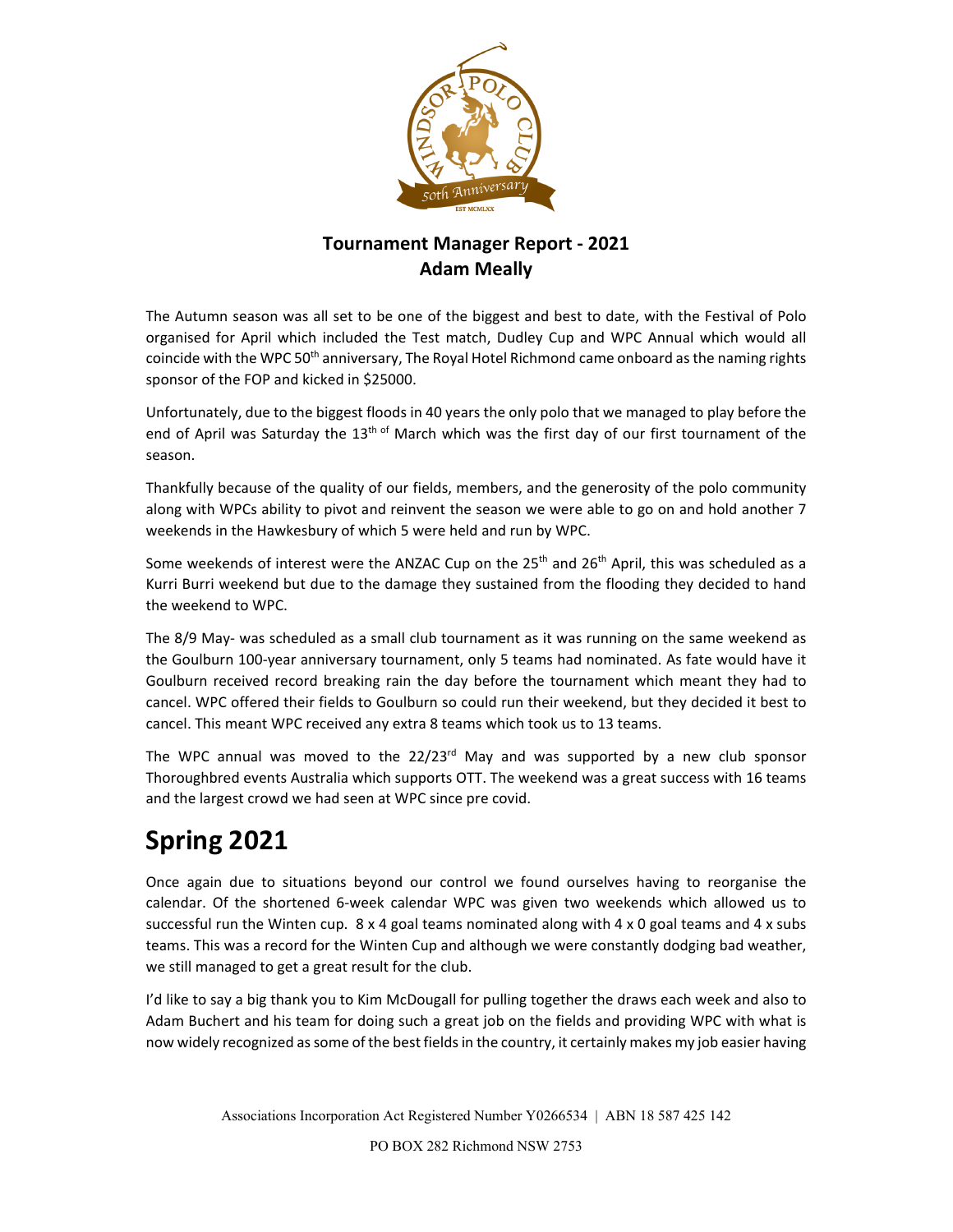

## **Tournament Manager Report ‐ 2021 Adam Meally**

The Autumn season was all set to be one of the biggest and best to date, with the Festival of Polo organised for April which included the Test match, Dudley Cup and WPC Annual which would all coincide with the WPC 50<sup>th</sup> anniversary, The Royal Hotel Richmond came onboard as the naming rights sponsor of the FOP and kicked in \$25000.

Unfortunately, due to the biggest floods in 40 years the only polo that we managed to play before the end of April was Saturday the 13<sup>th of</sup> March which was the first day of our first tournament of the season.

Thankfully because of the quality of our fields, members, and the generosity of the polo community along with WPCs ability to pivot and reinvent the season we were able to go on and hold another 7 weekends in the Hawkesbury of which 5 were held and run by WPC.

Some weekends of interest were the ANZAC Cup on the 25<sup>th</sup> and 26<sup>th</sup> April, this was scheduled as a Kurri Burri weekend but due to the damage they sustained from the flooding they decided to hand the weekend to WPC.

The 8/9 May‐ was scheduled as a small club tournament as it was running on the same weekend as the Goulburn 100‐year anniversary tournament, only 5 teams had nominated. As fate would have it Goulburn received record breaking rain the day before the tournament which meant they had to cancel. WPC offered their fields to Goulburn so could run their weekend, but they decided it best to cancel. This meant WPC received any extra 8 teams which took us to 13 teams.

The WPC annual was moved to the  $22/23<sup>rd</sup>$  May and was supported by a new club sponsor Thoroughbred events Australia which supports OTT. The weekend was a great success with 16 teams and the largest crowd we had seen at WPC since pre covid.

# **Spring 2021**

Once again due to situations beyond our control we found ourselves having to reorganise the calendar. Of the shortened 6‐week calendar WPC was given two weekends which allowed us to successful run the Winten cup.  $8 \times 4$  goal teams nominated along with  $4 \times 0$  goal teams and  $4 \times$  subs teams. This was a record for the Winten Cup and although we were constantly dodging bad weather, we still managed to get a great result for the club.

I'd like to say a big thank you to Kim McDougall for pulling together the draws each week and also to Adam Buchert and his team for doing such a great job on the fields and providing WPC with what is now widely recognized as some of the best fields in the country, it certainly makes my job easier having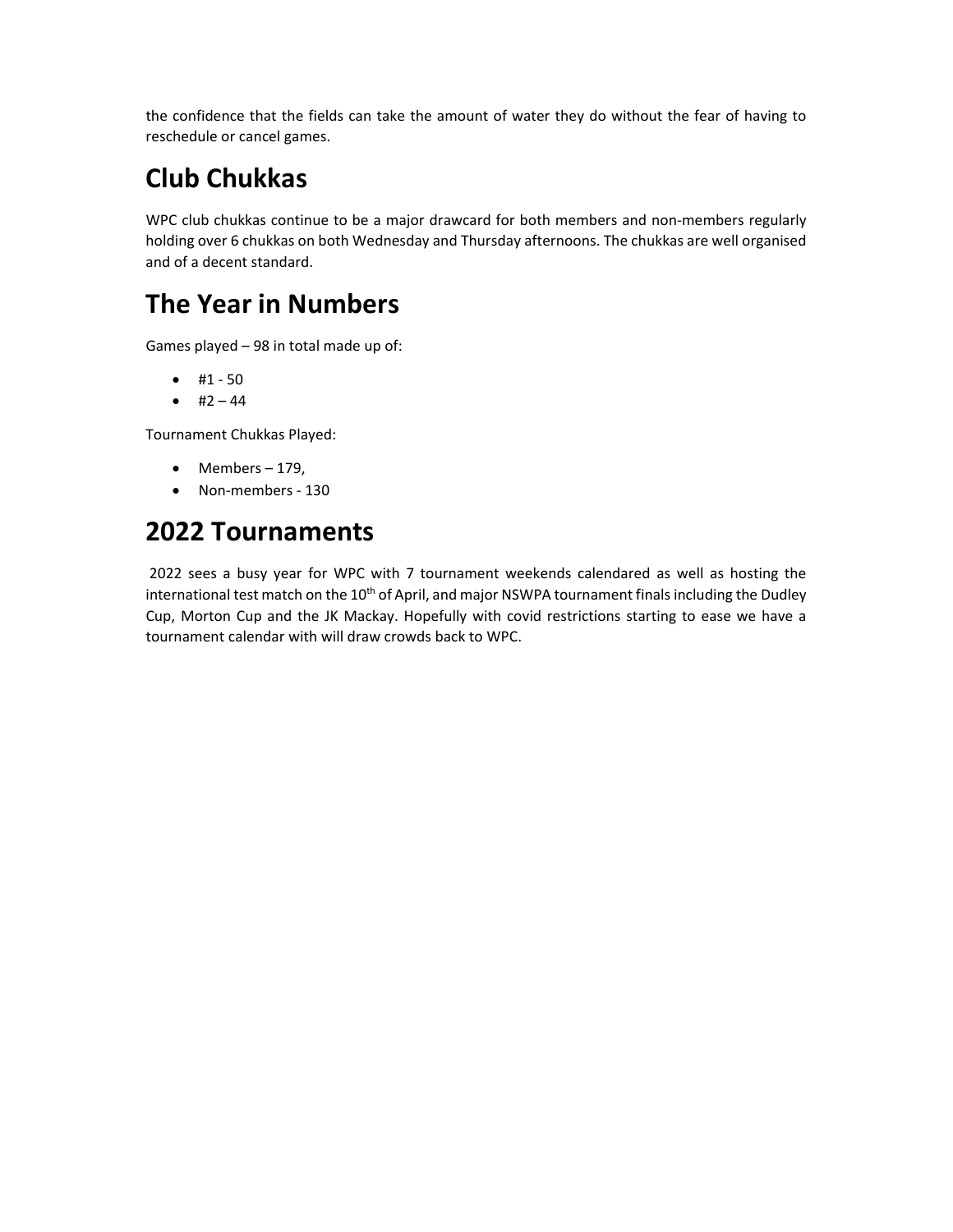the confidence that the fields can take the amount of water they do without the fear of having to reschedule or cancel games.

## **Club Chukkas**

WPC club chukkas continue to be a major drawcard for both members and non-members regularly holding over 6 chukkas on both Wednesday and Thursday afternoons. The chukkas are well organised and of a decent standard.

## **The Year in Numbers**

Games played – 98 in total made up of:

- $#1 50$
- $\bullet$  #2 44

Tournament Chukkas Played:

- $\bullet$  Members 179,
- Non-members 130

## **2022 Tournaments**

2022 sees a busy year for WPC with 7 tournament weekends calendared as well as hosting the international test match on the  $10<sup>th</sup>$  of April, and major NSWPA tournament finals including the Dudley Cup, Morton Cup and the JK Mackay. Hopefully with covid restrictions starting to ease we have a tournament calendar with will draw crowds back to WPC.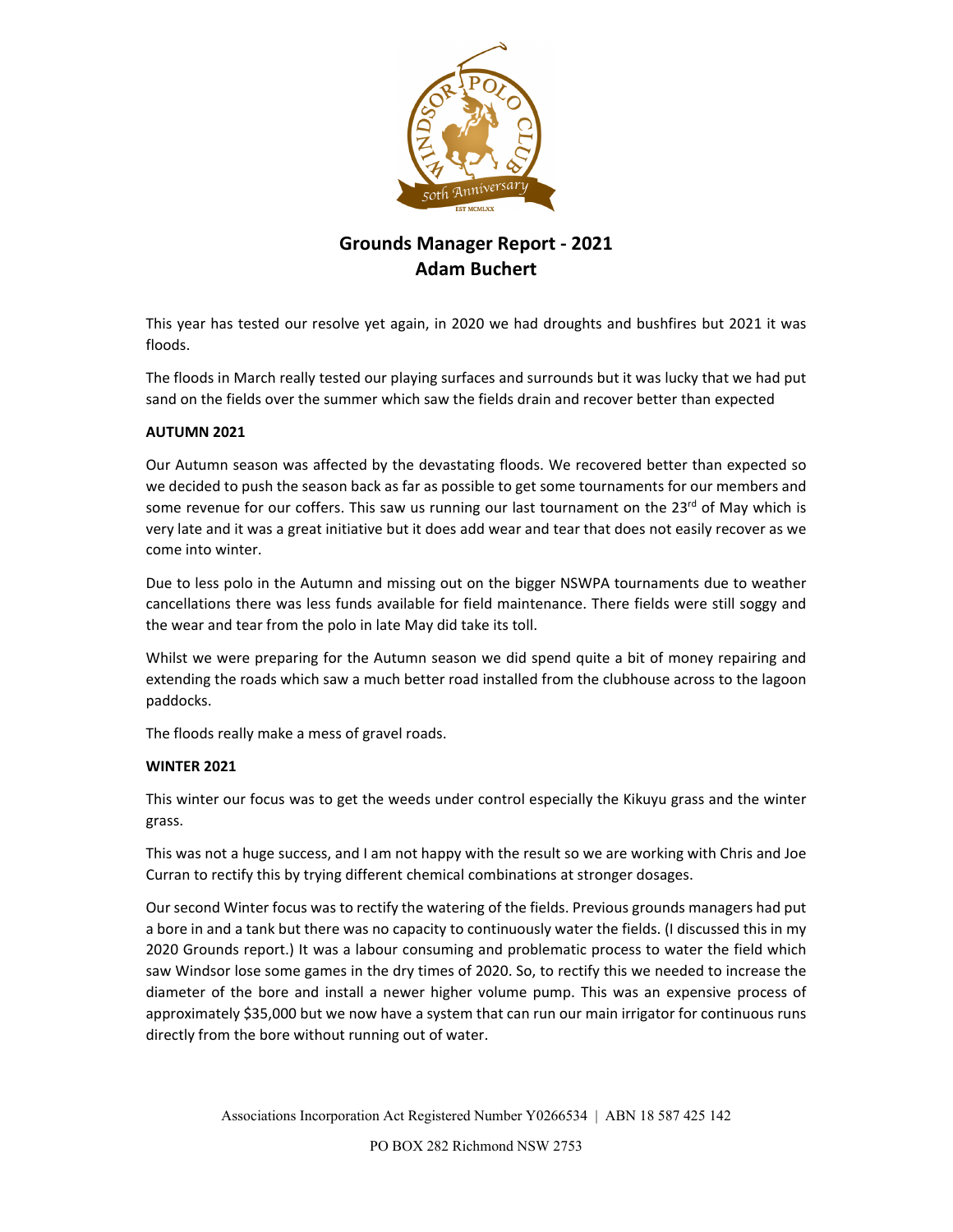

### **Grounds Manager Report ‐ 2021 Adam Buchert**

This year has tested our resolve yet again, in 2020 we had droughts and bushfires but 2021 it was floods.

The floods in March really tested our playing surfaces and surrounds but it was lucky that we had put sand on the fields over the summer which saw the fields drain and recover better than expected

### **AUTUMN 2021**

Our Autumn season was affected by the devastating floods. We recovered better than expected so we decided to push the season back as far as possible to get some tournaments for our members and some revenue for our coffers. This saw us running our last tournament on the  $23^{rd}$  of May which is very late and it was a great initiative but it does add wear and tear that does not easily recover as we come into winter.

Due to less polo in the Autumn and missing out on the bigger NSWPA tournaments due to weather cancellations there was less funds available for field maintenance. There fields were still soggy and the wear and tear from the polo in late May did take its toll.

Whilst we were preparing for the Autumn season we did spend quite a bit of money repairing and extending the roads which saw a much better road installed from the clubhouse across to the lagoon paddocks.

The floods really make a mess of gravel roads.

### **WINTER 2021**

This winter our focus was to get the weeds under control especially the Kikuyu grass and the winter grass.

This was not a huge success, and I am not happy with the result so we are working with Chris and Joe Curran to rectify this by trying different chemical combinations at stronger dosages.

Our second Winter focus was to rectify the watering of the fields. Previous grounds managers had put a bore in and a tank but there was no capacity to continuously water the fields. (I discussed this in my 2020 Grounds report.) It was a labour consuming and problematic process to water the field which saw Windsor lose some games in the dry times of 2020. So, to rectify this we needed to increase the diameter of the bore and install a newer higher volume pump. This was an expensive process of approximately \$35,000 but we now have a system that can run our main irrigator for continuous runs directly from the bore without running out of water.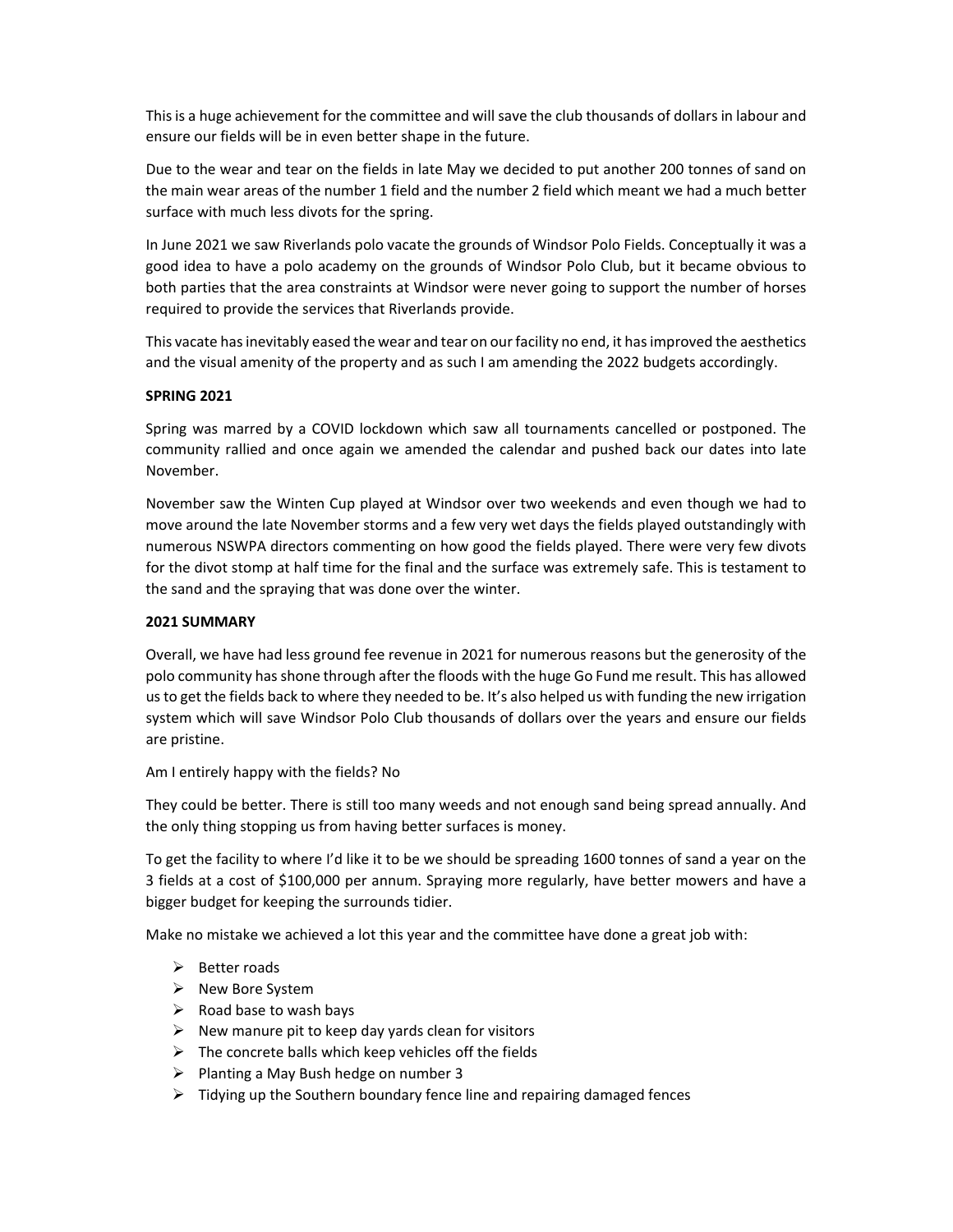Thisis a huge achievement for the committee and will save the club thousands of dollars in labour and ensure our fields will be in even better shape in the future.

Due to the wear and tear on the fields in late May we decided to put another 200 tonnes of sand on the main wear areas of the number 1 field and the number 2 field which meant we had a much better surface with much less divots for the spring.

In June 2021 we saw Riverlands polo vacate the grounds of Windsor Polo Fields. Conceptually it was a good idea to have a polo academy on the grounds of Windsor Polo Club, but it became obvious to both parties that the area constraints at Windsor were never going to support the number of horses required to provide the services that Riverlands provide.

This vacate has inevitably eased the wear and tear on our facility no end, it has improved the aesthetics and the visual amenity of the property and as such I am amending the 2022 budgets accordingly.

#### **SPRING 2021**

Spring was marred by a COVID lockdown which saw all tournaments cancelled or postponed. The community rallied and once again we amended the calendar and pushed back our dates into late November.

November saw the Winten Cup played at Windsor over two weekends and even though we had to move around the late November storms and a few very wet days the fields played outstandingly with numerous NSWPA directors commenting on how good the fields played. There were very few divots for the divot stomp at half time for the final and the surface was extremely safe. This is testament to the sand and the spraying that was done over the winter.

#### **2021 SUMMARY**

Overall, we have had less ground fee revenue in 2021 for numerous reasons but the generosity of the polo community has shone through after the floods with the huge Go Fund me result. This has allowed usto get the fields back to where they needed to be. It's also helped us with funding the new irrigation system which will save Windsor Polo Club thousands of dollars over the years and ensure our fields are pristine.

Am I entirely happy with the fields? No

They could be better. There is still too many weeds and not enough sand being spread annually. And the only thing stopping us from having better surfaces is money.

To get the facility to where I'd like it to be we should be spreading 1600 tonnes of sand a year on the 3 fields at a cost of \$100,000 per annum. Spraying more regularly, have better mowers and have a bigger budget for keeping the surrounds tidier.

Make no mistake we achieved a lot this year and the committee have done a great job with:

- $\triangleright$  Better roads
- $\triangleright$  New Bore System
- $\triangleright$  Road base to wash bays
- $\triangleright$  New manure pit to keep day yards clean for visitors
- $\triangleright$  The concrete balls which keep vehicles off the fields
- $\triangleright$  Planting a May Bush hedge on number 3
- $\triangleright$  Tidying up the Southern boundary fence line and repairing damaged fences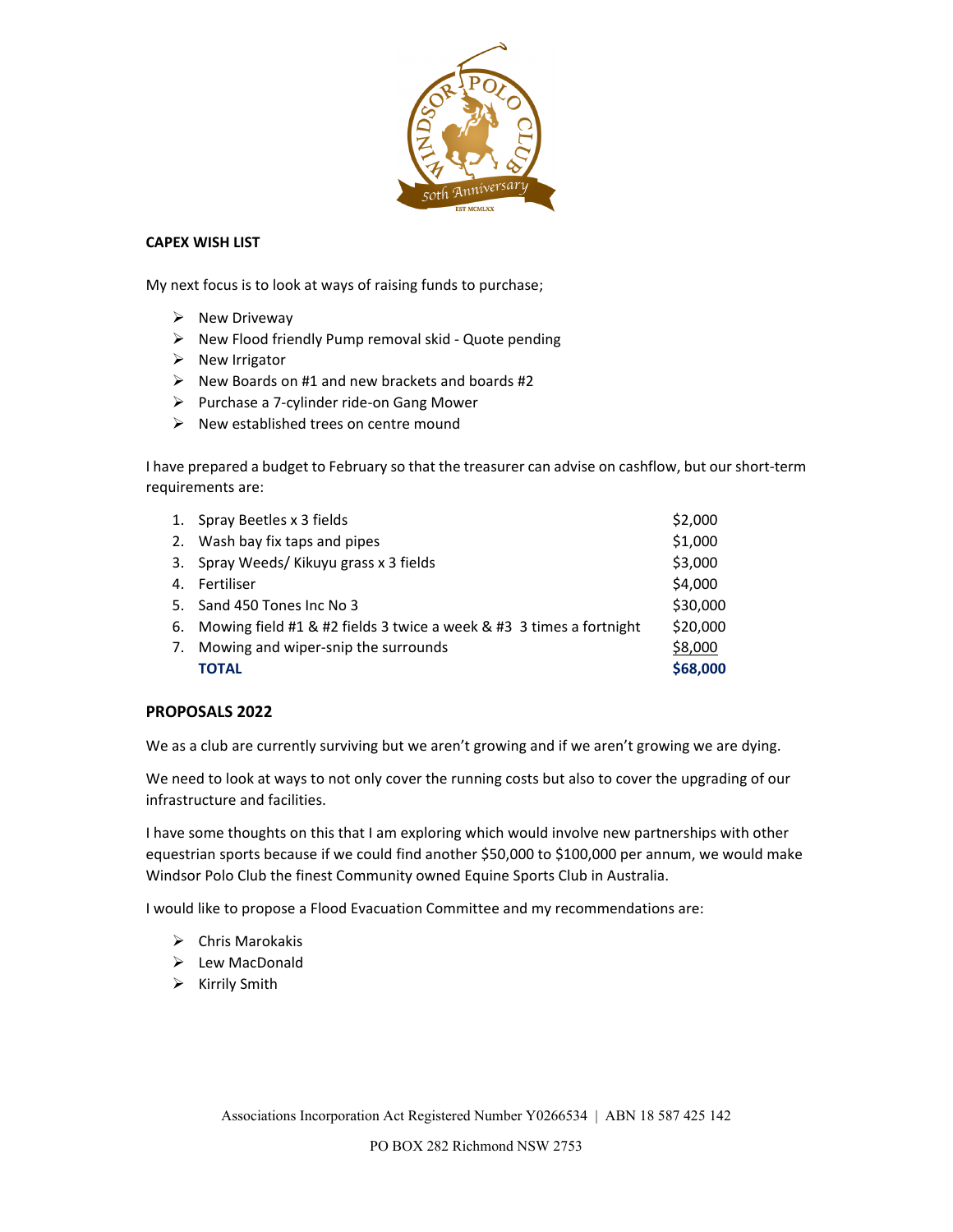

### **CAPEX WISH LIST**

My next focus is to look at ways of raising funds to purchase;

- $\triangleright$  New Driveway
- New Flood friendly Pump removal skid ‐ Quote pending
- $\triangleright$  New Irrigator
- $\triangleright$  New Boards on #1 and new brackets and boards #2
- Purchase a 7‐cylinder ride‐on Gang Mower
- $\triangleright$  New established trees on centre mound

I have prepared a budget to February so that the treasurer can advise on cashflow, but our short‐term requirements are:

|    | 1. Spray Beetles x 3 fields                                            | \$2,000  |
|----|------------------------------------------------------------------------|----------|
|    | 2. Wash bay fix taps and pipes                                         | \$1,000  |
|    | 3. Spray Weeds/Kikuyu grass x 3 fields                                 | \$3,000  |
|    | 4. Fertiliser                                                          | \$4,000  |
|    | 5. Sand 450 Tones Inc No 3                                             | \$30,000 |
|    | 6. Mowing field #1 & #2 fields 3 twice a week & #3 3 times a fortnight | \$20,000 |
| 7. | Mowing and wiper-snip the surrounds                                    | \$8,000  |
|    | TOTAL                                                                  | \$68,000 |

#### **PROPOSALS 2022**

We as a club are currently surviving but we aren't growing and if we aren't growing we are dying.

We need to look at ways to not only cover the running costs but also to cover the upgrading of our infrastructure and facilities.

I have some thoughts on this that I am exploring which would involve new partnerships with other equestrian sports because if we could find another \$50,000 to \$100,000 per annum, we would make Windsor Polo Club the finest Community owned Equine Sports Club in Australia.

I would like to propose a Flood Evacuation Committee and my recommendations are:

- $\triangleright$  Chris Marokakis
- $\triangleright$  Lew MacDonald
- $\triangleright$  Kirrily Smith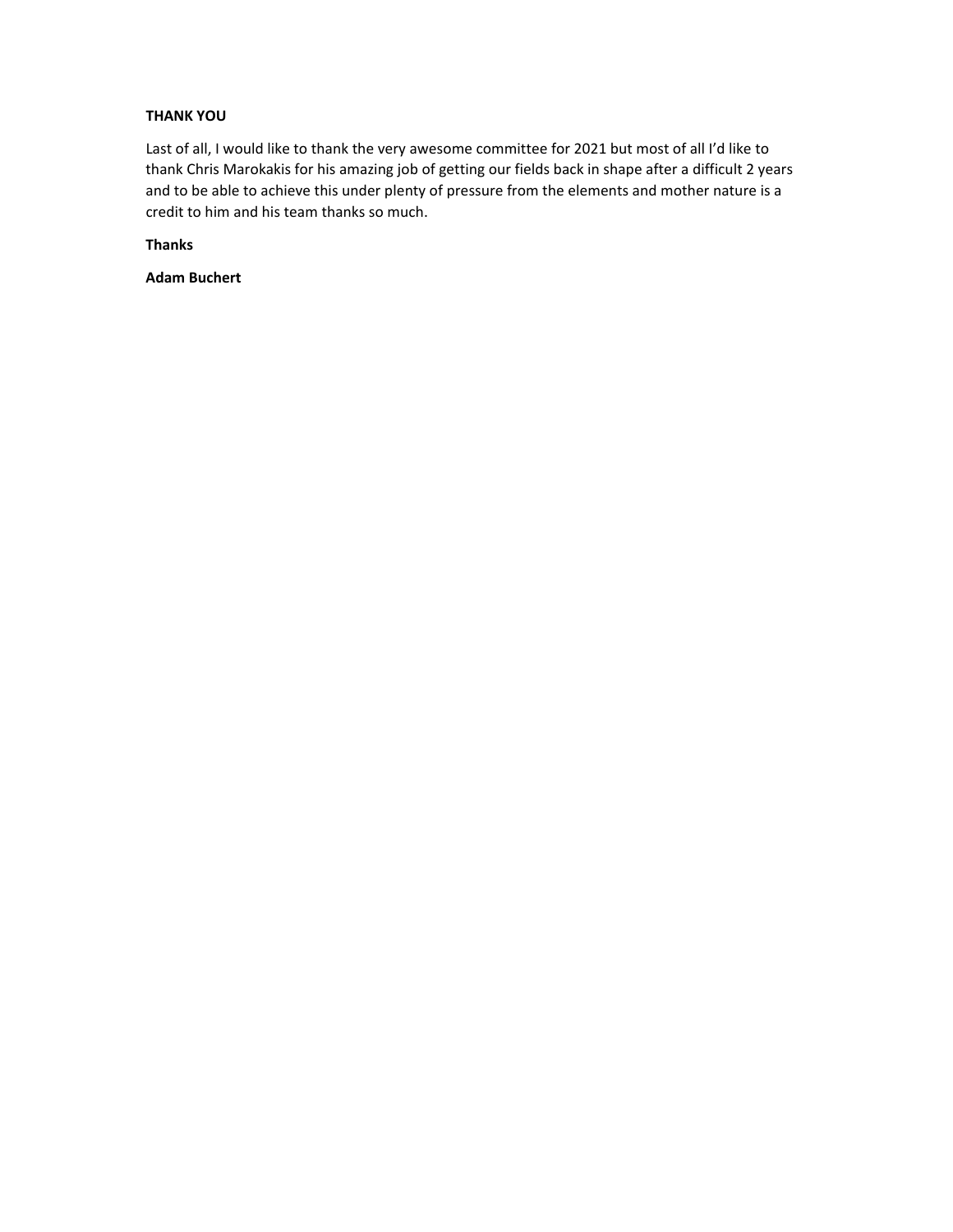### **THANK YOU**

Last of all, I would like to thank the very awesome committee for 2021 but most of all I'd like to thank Chris Marokakis for his amazing job of getting our fields back in shape after a difficult 2 years and to be able to achieve this under plenty of pressure from the elements and mother nature is a credit to him and his team thanks so much.

**Thanks** 

**Adam Buchert**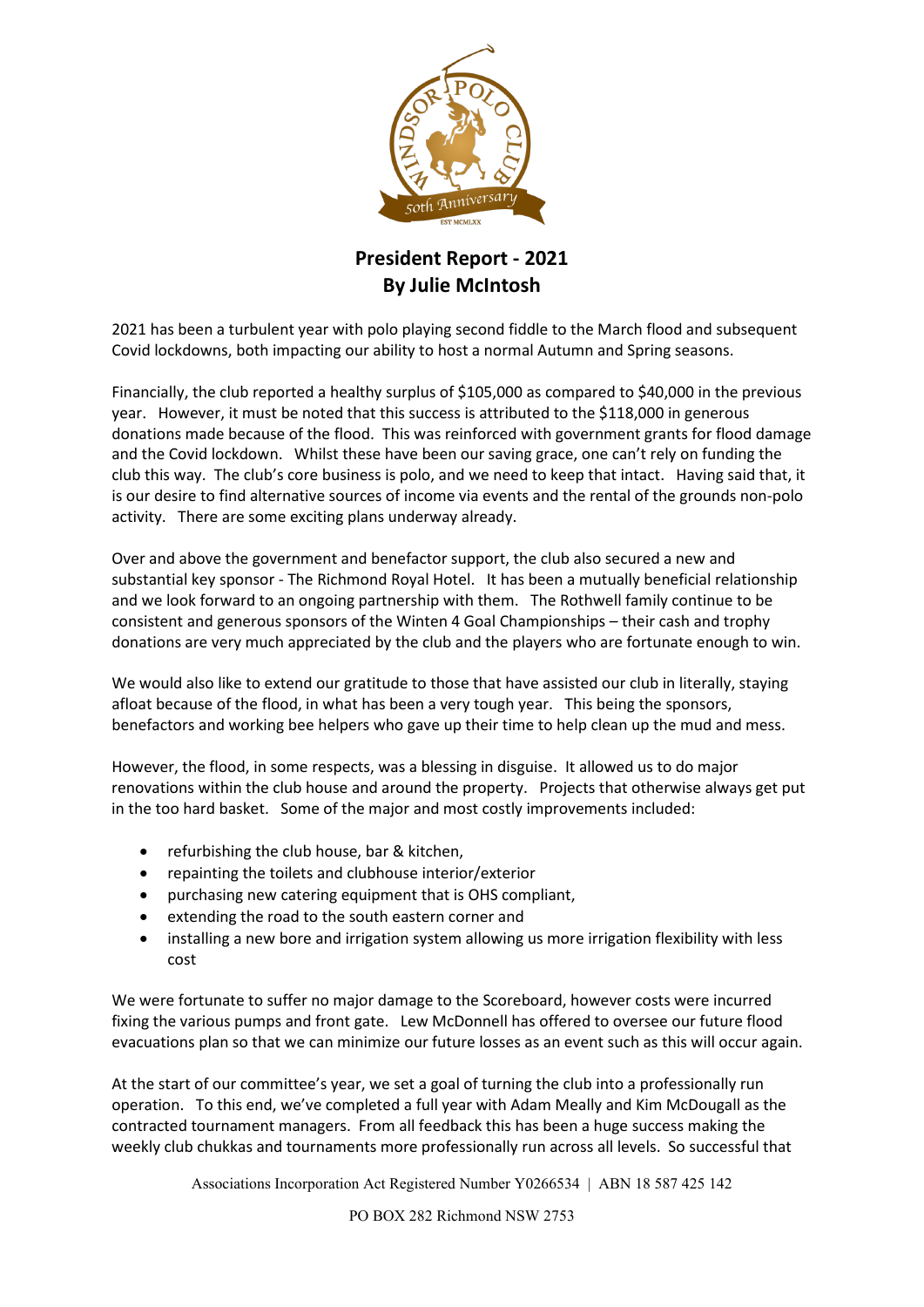

## **President Report - 2021 By Julie McIntosh**

2021 has been a turbulent year with polo playing second fiddle to the March flood and subsequent Covid lockdowns, both impacting our ability to host a normal Autumn and Spring seasons.

Financially, the club reported a healthy surplus of \$105,000 as compared to \$40,000 in the previous year. However, it must be noted that this success is attributed to the \$118,000 in generous donations made because of the flood. This was reinforced with government grants for flood damage and the Covid lockdown. Whilst these have been our saving grace, one can't rely on funding the club this way. The club's core business is polo, and we need to keep that intact. Having said that, it is our desire to find alternative sources of income via events and the rental of the grounds non-polo activity. There are some exciting plans underway already.

Over and above the government and benefactor support, the club also secured a new and substantial key sponsor - The Richmond Royal Hotel. It has been a mutually beneficial relationship and we look forward to an ongoing partnership with them. The Rothwell family continue to be consistent and generous sponsors of the Winten 4 Goal Championships – their cash and trophy donations are very much appreciated by the club and the players who are fortunate enough to win.

We would also like to extend our gratitude to those that have assisted our club in literally, staying afloat because of the flood, in what has been a very tough year. This being the sponsors, benefactors and working bee helpers who gave up their time to help clean up the mud and mess.

However, the flood, in some respects, was a blessing in disguise. It allowed us to do major renovations within the club house and around the property. Projects that otherwise always get put in the too hard basket. Some of the major and most costly improvements included:

- refurbishing the club house, bar & kitchen,
- repainting the toilets and clubhouse interior/exterior
- purchasing new catering equipment that is OHS compliant,
- extending the road to the south eastern corner and
- installing a new bore and irrigation system allowing us more irrigation flexibility with less cost

We were fortunate to suffer no major damage to the Scoreboard, however costs were incurred fixing the various pumps and front gate. Lew McDonnell has offered to oversee our future flood evacuations plan so that we can minimize our future losses as an event such as this will occur again.

At the start of our committee's year, we set a goal of turning the club into a professionally run operation. To this end, we've completed a full year with Adam Meally and Kim McDougall as the contracted tournament managers. From all feedback this has been a huge success making the weekly club chukkas and tournaments more professionally run across all levels. So successful that

Associations Incorporation Act Registered Number Y0266534 | ABN 18 587 425 142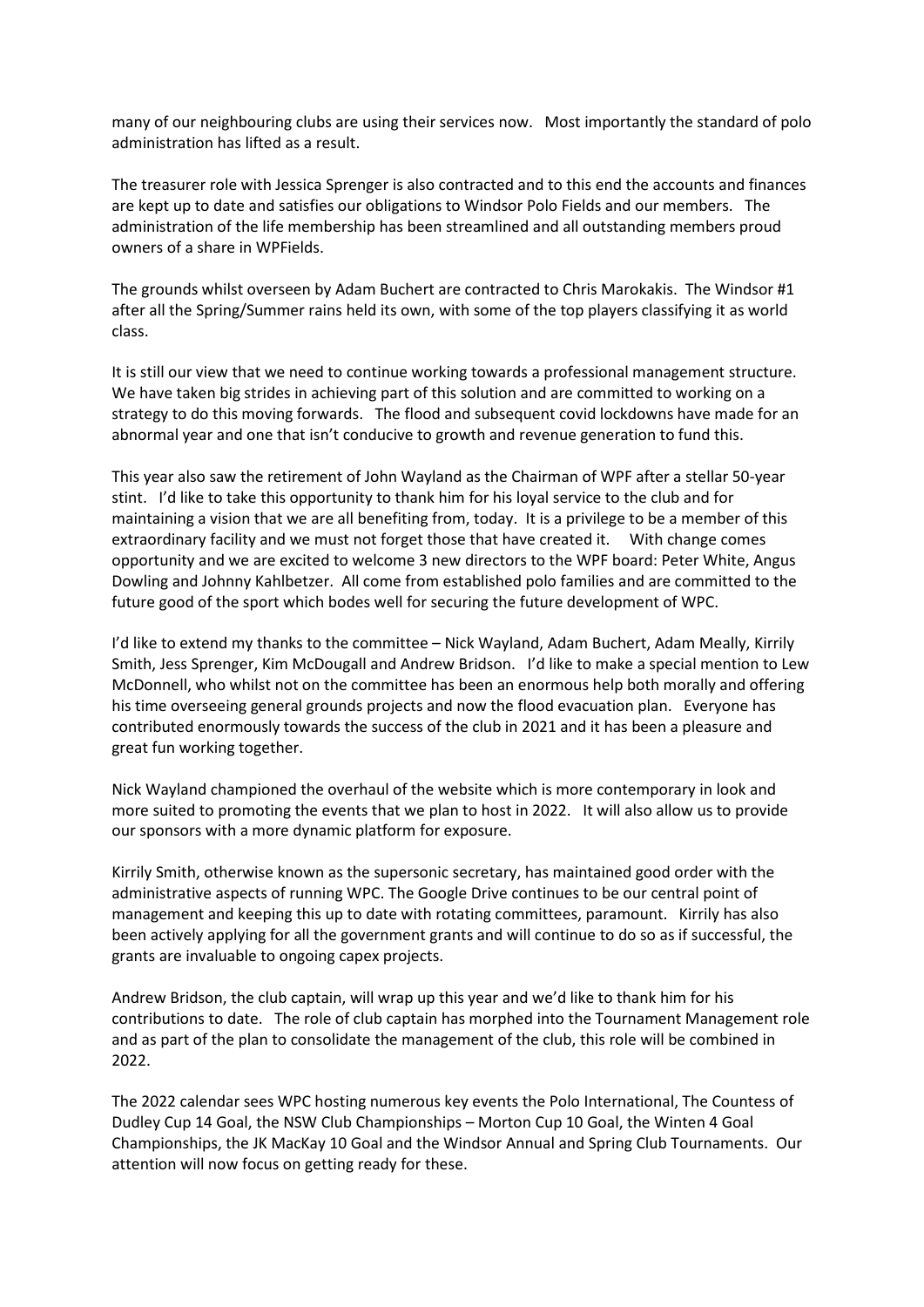many of our neighbouring clubs are using their services now. Most importantly the standard of polo administration has lifted as a result.

The treasurer role with Jessica Sprenger is also contracted and to this end the accounts and finances are kept up to date and satisfies our obligations to Windsor Polo Fields and our members. The administration of the life membership has been streamlined and all outstanding members proud owners of a share in WPFields.

The grounds whilst overseen by Adam Buchert are contracted to Chris Marokakis. The Windsor #1 after all the Spring/Summer rains held its own, with some of the top players classifying it as world class.

It is still our view that we need to continue working towards a professional management structure. We have taken big strides in achieving part of this solution and are committed to working on a strategy to do this moving forwards. The flood and subsequent covid lockdowns have made for an abnormal year and one that isn't conducive to growth and revenue generation to fund this.

This year also saw the retirement of John Wayland as the Chairman of WPF after a stellar 50-year stint. I'd like to take this opportunity to thank him for his loyal service to the club and for maintaining a vision that we are all benefiting from, today. It is a privilege to be a member of this extraordinary facility and we must not forget those that have created it. With change comes opportunity and we are excited to welcome 3 new directors to the WPF board: Peter White, Angus Dowling and Johnny Kahlbetzer. All come from established polo families and are committed to the future good of the sport which bodes well for securing the future development of WPC.

I'd like to extend my thanks to the committee – Nick Wayland, Adam Buchert, Adam Meally, Kirrily Smith, Jess Sprenger, Kim McDougall and Andrew Bridson. I'd like to make a special mention to Lew McDonnell, who whilst not on the committee has been an enormous help both morally and offering his time overseeing general grounds projects and now the flood evacuation plan. Everyone has contributed enormously towards the success of the club in 2021 and it has been a pleasure and great fun working together.

Nick Wayland championed the overhaul of the website which is more contemporary in look and more suited to promoting the events that we plan to host in 2022. It will also allow us to provide our sponsors with a more dynamic platform for exposure.

Kirrily Smith, otherwise known as the supersonic secretary, has maintained good order with the administrative aspects of running WPC. The Google Drive continues to be our central point of management and keeping this up to date with rotating committees, paramount. Kirrily has also been actively applying for all the government grants and will continue to do so as if successful, the grants are invaluable to ongoing capex projects.

Andrew Bridson, the club captain, will wrap up this year and we'd like to thank him for his contributions to date. The role of club captain has morphed into the Tournament Management role and as part of the plan to consolidate the management of the club, this role will be combined in 2022.

The 2022 calendar sees WPC hosting numerous key events the Polo International, The Countess of Dudley Cup 14 Goal, the NSW Club Championships – Morton Cup 10 Goal, the Winten 4 Goal Championships, the JK MacKay 10 Goal and the Windsor Annual and Spring Club Tournaments. Our attention will now focus on getting ready for these.